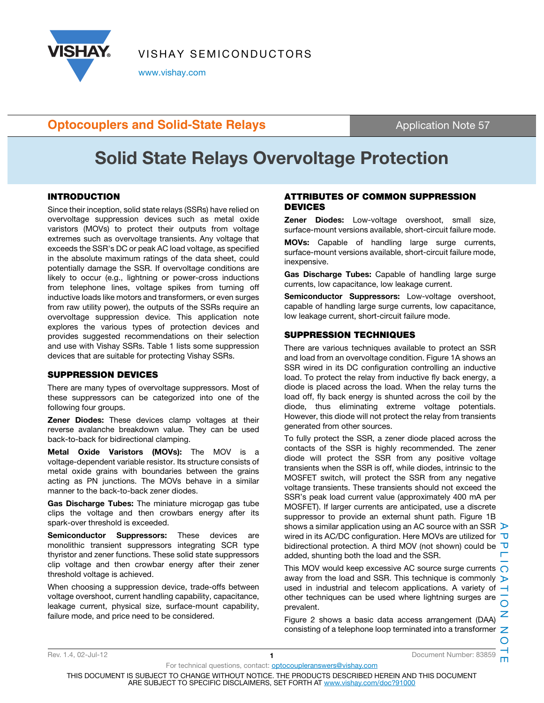

VISHAY SEMICONDUCTORS

www.vishay.com

### **Optocouplers and Solid-State Relays Application Note 57 Application Note 57**

# Solid State Relays Overvoltage Protection

inexpensive.

#### INTRODUCTION

Since their inception, solid state relays (SSRs) have relied on overvoltage suppression devices such as metal oxide varistors (MOVs) to protect their outputs from voltage extremes such as overvoltage transients. Any voltage that exceeds the SSR's DC or peak AC load voltage, as specified in the absolute maximum ratings of the data sheet, could potentially damage the SSR. If overvoltage conditions are likely to occur (e.g., lightning or power-cross inductions from telephone lines, voltage spikes from turning off inductive loads like motors and transformers, or even surges from raw utility power), the outputs of the SSRs require an overvoltage suppression device. This application note explores the various types of protection devices and provides suggested recommendations on their selection and use with Vishay SSRs. Table 1 lists some suppression devices that are suitable for protecting Vishay SSRs.

#### SUPPRESSION DEVICES

There are many types of overvoltage suppressors. Most of these suppressors can be categorized into one of the following four groups.

**Zener Diodes:** These devices clamp voltages at their reverse avalanche breakdown value. They can be used back-to-back for bidirectional clamping.

Metal Oxide Varistors (MOVs): The MOV is a voltage-dependent variable resistor. Its structure consists of metal oxide grains with boundaries between the grains acting as PN junctions. The MOVs behave in a similar manner to the back-to-back zener diodes.

Gas Discharge Tubes: The miniature microgap gas tube clips the voltage and then crowbars energy after its spark-over threshold is exceeded.

Semiconductor Suppressors: These devices are monolithic transient suppressors integrating SCR type thyristor and zener functions. These solid state suppressors clip voltage and then crowbar energy after their zener threshold voltage is achieved.

When choosing a suppression device, trade-offs between voltage overshoot, current handling capability, capacitance, leakage current, physical size, surface-mount capability, failure mode, and price need to be considered.

### ATTRIBUTES OF COMMON SUPPRESSION DEVICES

Zener Diodes: Low-voltage overshoot, small size, surface-mount versions available, short-circuit failure mode. MOVs: Capable of handling large surge currents, surface-mount versions available, short-circuit failure mode,

Gas Discharge Tubes: Capable of handling large surge currents, low capacitance, low leakage current.

Semiconductor Suppressors: Low-voltage overshoot, capable of handling large surge currents, low capacitance, low leakage current, short-circuit failure mode.

#### SUPPRESSION TECHNIQUES

There are various techniques available to protect an SSR and load from an overvoltage condition. Figure 1A shows an SSR wired in its DC configuration controlling an inductive load. To protect the relay from inductive fly back energy, a diode is placed across the load. When the relay turns the load off, fly back energy is shunted across the coil by the diode, thus eliminating extreme voltage potentials. However, this diode will not protect the relay from transients generated from other sources.

To fully protect the SSR, a zener diode placed across the contacts of the SSR is highly recommended. The zener diode will protect the SSR from any positive voltage transients when the SSR is off, while diodes, intrinsic to the MOSFET switch, will protect the SSR from any negative voltage transients. These transients should not exceed the SSR's peak load current value (approximately 400 mA per MOSFET). If larger currents are anticipated, use a discrete suppressor to provide an external shunt path. Figure 1B shows a similar application using an AC source with an SSR  $\triangleright$ wired in its AC/DC configuration. Here MOVs are utilized for  $\overline{U}$ bidirectional protection. A third MOV (not shown) could be  $\overline{\mathbf{U}}$ added, shunting both the load and the SSR.

This MOV would keep excessive AC source surge currents  $\bigcirc$ away from the load and SSR. This technique is commonly  $\triangleright$ used in industrial and telecom applications. A variety of  $$ other techniques can be used where lightning surges are prevalent.

Figure 2 shows a basic data access arrangement (DAA) consisting of a telephone loop terminated into a transformer  $\mathbb Z$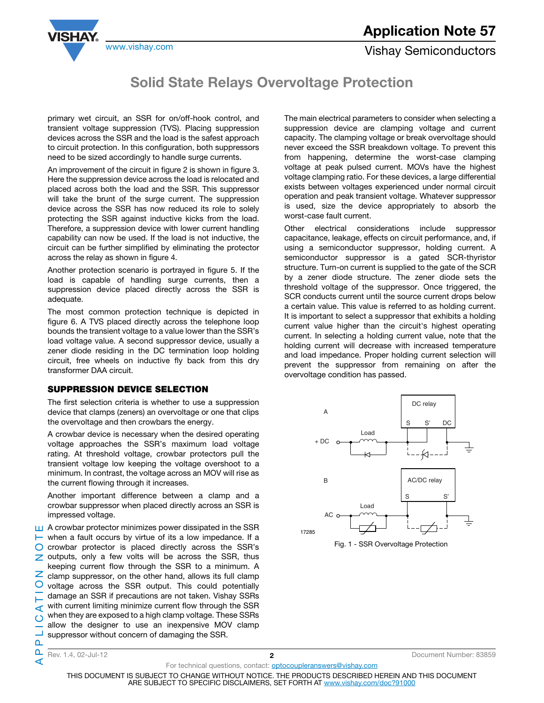

www.vishay.com **Vishay Semiconductors** 

### Solid State Relays Overvoltage Protection

primary wet circuit, an SSR for on/off-hook control, and transient voltage suppression (TVS). Placing suppression devices across the SSR and the load is the safest approach to circuit protection. In this configuration, both suppressors need to be sized accordingly to handle surge currents.

An improvement of the circuit in figure 2 is shown in figure 3. Here the suppression device across the load is relocated and placed across both the load and the SSR. This suppressor will take the brunt of the surge current. The suppression device across the SSR has now reduced its role to solely protecting the SSR against inductive kicks from the load. Therefore, a suppression device with lower current handling capability can now be used. If the load is not inductive, the circuit can be further simplified by eliminating the protector across the relay as shown in figure 4.

Another protection scenario is portrayed in figure 5. If the load is capable of handling surge currents, then a suppression device placed directly across the SSR is adequate.

The most common protection technique is depicted in figure 6. A TVS placed directly across the telephone loop bounds the transient voltage to a value lower than the SSR's load voltage value. A second suppressor device, usually a zener diode residing in the DC termination loop holding circuit, free wheels on inductive fly back from this dry transformer DAA circuit.

#### SUPPRESSION DEVICE SELECTION

The first selection criteria is whether to use a suppression device that clamps (zeners) an overvoltage or one that clips the overvoltage and then crowbars the energy.

A crowbar device is necessary when the desired operating voltage approaches the SSR's maximum load voltage rating. At threshold voltage, crowbar protectors pull the transient voltage low keeping the voltage overshoot to a minimum. In contrast, the voltage across an MOV will rise as the current flowing through it increases.

Another important difference between a clamp and a crowbar suppressor when placed directly across an SSR is impressed voltage.

A crowbar protector minimizes power dissipated in the SSR APPLICATION NOTE  $\vdash$  when a fault occurs by virtue of its a low impedance. If a  $\bigcirc$  crowbar protector is placed directly across the SSR's  $\geq$  outputs, only a few volts will be across the SSR, thus keeping current flow through the SSR to a minimum. A  $\overline{z}$  clamp suppressor, on the other hand, allows its full clamp  $\circ$ voltage across the SSR output. This could potentially damage an SSR if precautions are not taken. Vishay SSRs with current limiting minimize current flow through the SSR ⋖ when they are exposed to a high clamp voltage. These SSRs  $\circ$ allow the designer to use an inexpensive MOV clamp suppressor without concern of damaging the SSR.

The main electrical parameters to consider when selecting a suppression device are clamping voltage and current capacity. The clamping voltage or break overvoltage should never exceed the SSR breakdown voltage. To prevent this from happening, determine the worst-case clamping voltage at peak pulsed current. MOVs have the highest voltage clamping ratio. For these devices, a large differential exists between voltages experienced under normal circuit operation and peak transient voltage. Whatever suppressor is used, size the device appropriately to absorb the worst-case fault current.

Other electrical considerations include suppressor capacitance, leakage, effects on circuit performance, and, if using a semiconductor suppressor, holding current. A semiconductor suppressor is a gated SCR-thyristor structure. Turn-on current is supplied to the gate of the SCR by a zener diode structure. The zener diode sets the threshold voltage of the suppressor. Once triggered, the SCR conducts current until the source current drops below a certain value. This value is referred to as holding current. It is important to select a suppressor that exhibits a holding current value higher than the circuit's highest operating current. In selecting a holding current value, note that the holding current will decrease with increased temperature and load impedance. Proper holding current selection will prevent the suppressor from remaining on after the overvoltage condition has passed.





Rev. 1.4, 02-Jul-12 2 2 Document Number: 83859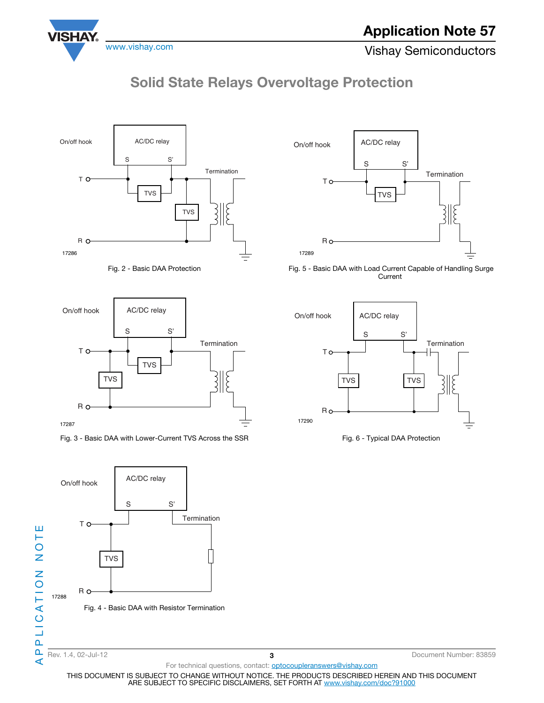

www.vishay.com **Vishay Semiconductors** 

## Solid State Relays Overvoltage Protection







Fig. 3 - Basic DAA with Lower-Current TVS Across the SSR





 Fig. 5 - Basic DAA with Load Current Capable of Handling Surge **Current** 





 $\triangleleft$ 

For technical questions, contact: **optocoupleranswers@vishay.com**